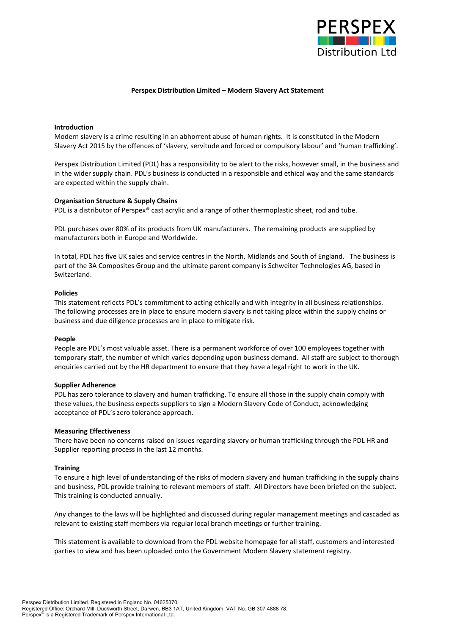

# **Perspex Distribution Limited – Modern Slavery Act Statement**

# **Introduction**

Modern slavery is a crime resulting in an abhorrent abuse of human rights. It is constituted in the Modern Slavery Act 2015 by the offences of 'slavery, servitude and forced or compulsory labour' and 'human trafficking'.

Perspex Distribution Limited (PDL) has a responsibility to be alert to the risks, however small, in the business and in the wider supply chain. PDL's business is conducted in a responsible and ethical way and the same standards are expected within the supply chain.

## **Organisation Structure & Supply Chains**

PDL is a distributor of Perspex® cast acrylic and a range of other thermoplastic sheet, rod and tube.

PDL purchases over 80% of its products from UK manufacturers. The remaining products are supplied by manufacturers both in Europe and Worldwide.

In total, PDL has five UK sales and service centres in the North, Midlands and South of England. The business is part of the 3A Composites Group and the ultimate parent company is Schweiter Technologies AG, based in Switzerland.

## **Policies**

This statement reflects PDL's commitment to acting ethically and with integrity in all business relationships. The following processes are in place to ensure modern slavery is not taking place within the supply chains or business and due diligence processes are in place to mitigate risk.

## **People**

People are PDL's most valuable asset. There is a permanent workforce of over 100 employees together with temporary staff, the number of which varies depending upon business demand. All staff are subject to thorough enquiries carried out by the HR department to ensure that they have a legal right to work in the UK.

## **Supplier Adherence**

PDL has zero tolerance to slavery and human trafficking. To ensure all those in the supply chain comply with these values, the business expects suppliers to sign a Modern Slavery Code of Conduct, acknowledging acceptance of PDL's zero tolerance approach.

## **Measuring Effectiveness**

There have been no concerns raised on issues regarding slavery or human trafficking through the PDL HR and Supplier reporting process in the last 12 months.

## **Training**

To ensure a high level of understanding of the risks of modern slavery and human trafficking in the supply chains and business, PDL provide training to relevant members of staff. All Directors have been briefed on the subject. This training is conducted annually.

Any changes to the laws will be highlighted and discussed during regular management meetings and cascaded as relevant to existing staff members via regular local branch meetings or further training.

This statement is available to download from the PDL website homepage for all staff, customers and interested parties to view and has been uploaded onto the Government Modern Slavery statement registry.